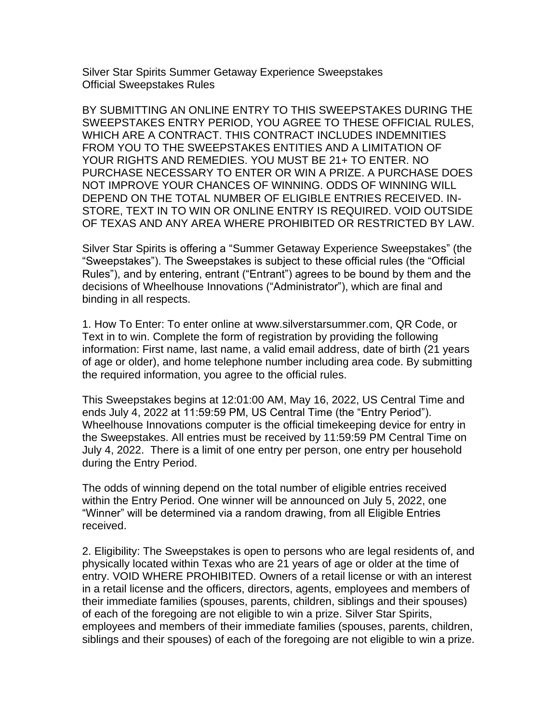Silver Star Spirits Summer Getaway Experience Sweepstakes Official Sweepstakes Rules

BY SUBMITTING AN ONLINE ENTRY TO THIS SWEEPSTAKES DURING THE SWEEPSTAKES ENTRY PERIOD, YOU AGREE TO THESE OFFICIAL RULES, WHICH ARE A CONTRACT. THIS CONTRACT INCLUDES INDEMNITIES FROM YOU TO THE SWEEPSTAKES ENTITIES AND A LIMITATION OF YOUR RIGHTS AND REMEDIES. YOU MUST BE 21+ TO ENTER. NO PURCHASE NECESSARY TO ENTER OR WIN A PRIZE. A PURCHASE DOES NOT IMPROVE YOUR CHANCES OF WINNING. ODDS OF WINNING WILL DEPEND ON THE TOTAL NUMBER OF ELIGIBLE ENTRIES RECEIVED. IN-STORE, TEXT IN TO WIN OR ONLINE ENTRY IS REQUIRED. VOID OUTSIDE OF TEXAS AND ANY AREA WHERE PROHIBITED OR RESTRICTED BY LAW.

Silver Star Spirits is offering a "Summer Getaway Experience Sweepstakes" (the "Sweepstakes"). The Sweepstakes is subject to these official rules (the "Official Rules"), and by entering, entrant ("Entrant") agrees to be bound by them and the decisions of Wheelhouse Innovations ("Administrator"), which are final and binding in all respects.

1. How To Enter: To enter online at www.silverstarsummer.com, QR Code, or Text in to win. Complete the form of registration by providing the following information: First name, last name, a valid email address, date of birth (21 years of age or older), and home telephone number including area code. By submitting the required information, you agree to the official rules.

This Sweepstakes begins at 12:01:00 AM, May 16, 2022, US Central Time and ends July 4, 2022 at 11:59:59 PM, US Central Time (the "Entry Period"). Wheelhouse Innovations computer is the official timekeeping device for entry in the Sweepstakes. All entries must be received by 11:59:59 PM Central Time on July 4, 2022. There is a limit of one entry per person, one entry per household during the Entry Period.

The odds of winning depend on the total number of eligible entries received within the Entry Period. One winner will be announced on July 5, 2022, one "Winner" will be determined via a random drawing, from all Eligible Entries received.

2. Eligibility: The Sweepstakes is open to persons who are legal residents of, and physically located within Texas who are 21 years of age or older at the time of entry. VOID WHERE PROHIBITED. Owners of a retail license or with an interest in a retail license and the officers, directors, agents, employees and members of their immediate families (spouses, parents, children, siblings and their spouses) of each of the foregoing are not eligible to win a prize. Silver Star Spirits, employees and members of their immediate families (spouses, parents, children, siblings and their spouses) of each of the foregoing are not eligible to win a prize.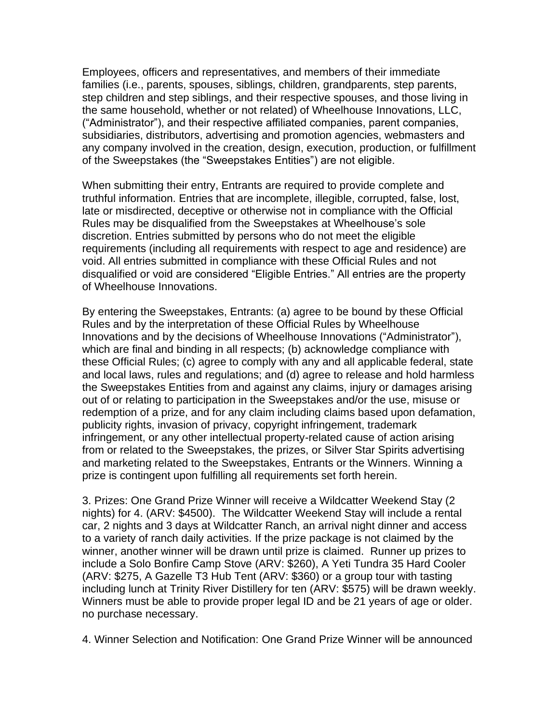Employees, officers and representatives, and members of their immediate families (i.e., parents, spouses, siblings, children, grandparents, step parents, step children and step siblings, and their respective spouses, and those living in the same household, whether or not related) of Wheelhouse Innovations, LLC, ("Administrator"), and their respective affiliated companies, parent companies, subsidiaries, distributors, advertising and promotion agencies, webmasters and any company involved in the creation, design, execution, production, or fulfillment of the Sweepstakes (the "Sweepstakes Entities") are not eligible.

When submitting their entry, Entrants are required to provide complete and truthful information. Entries that are incomplete, illegible, corrupted, false, lost, late or misdirected, deceptive or otherwise not in compliance with the Official Rules may be disqualified from the Sweepstakes at Wheelhouse's sole discretion. Entries submitted by persons who do not meet the eligible requirements (including all requirements with respect to age and residence) are void. All entries submitted in compliance with these Official Rules and not disqualified or void are considered "Eligible Entries." All entries are the property of Wheelhouse Innovations.

By entering the Sweepstakes, Entrants: (a) agree to be bound by these Official Rules and by the interpretation of these Official Rules by Wheelhouse Innovations and by the decisions of Wheelhouse Innovations ("Administrator"), which are final and binding in all respects; (b) acknowledge compliance with these Official Rules; (c) agree to comply with any and all applicable federal, state and local laws, rules and regulations; and (d) agree to release and hold harmless the Sweepstakes Entities from and against any claims, injury or damages arising out of or relating to participation in the Sweepstakes and/or the use, misuse or redemption of a prize, and for any claim including claims based upon defamation, publicity rights, invasion of privacy, copyright infringement, trademark infringement, or any other intellectual property-related cause of action arising from or related to the Sweepstakes, the prizes, or Silver Star Spirits advertising and marketing related to the Sweepstakes, Entrants or the Winners. Winning a prize is contingent upon fulfilling all requirements set forth herein.

3. Prizes: One Grand Prize Winner will receive a Wildcatter Weekend Stay (2 nights) for 4. (ARV: \$4500). The Wildcatter Weekend Stay will include a rental car, 2 nights and 3 days at Wildcatter Ranch, an arrival night dinner and access to a variety of ranch daily activities. If the prize package is not claimed by the winner, another winner will be drawn until prize is claimed. Runner up prizes to include a Solo Bonfire Camp Stove (ARV: \$260), A Yeti Tundra 35 Hard Cooler (ARV: \$275, A Gazelle T3 Hub Tent (ARV: \$360) or a group tour with tasting including lunch at Trinity River Distillery for ten (ARV: \$575) will be drawn weekly. Winners must be able to provide proper legal ID and be 21 years of age or older. no purchase necessary.

4. Winner Selection and Notification: One Grand Prize Winner will be announced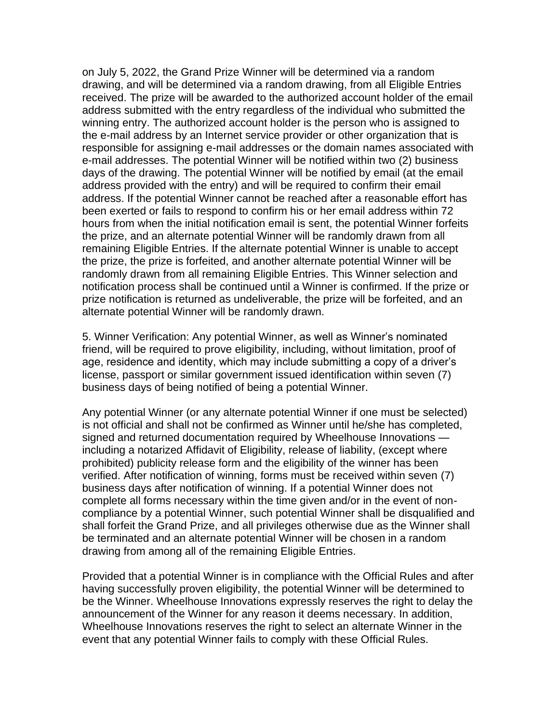on July 5, 2022, the Grand Prize Winner will be determined via a random drawing, and will be determined via a random drawing, from all Eligible Entries received. The prize will be awarded to the authorized account holder of the email address submitted with the entry regardless of the individual who submitted the winning entry. The authorized account holder is the person who is assigned to the e-mail address by an Internet service provider or other organization that is responsible for assigning e-mail addresses or the domain names associated with e-mail addresses. The potential Winner will be notified within two (2) business days of the drawing. The potential Winner will be notified by email (at the email address provided with the entry) and will be required to confirm their email address. If the potential Winner cannot be reached after a reasonable effort has been exerted or fails to respond to confirm his or her email address within 72 hours from when the initial notification email is sent, the potential Winner forfeits the prize, and an alternate potential Winner will be randomly drawn from all remaining Eligible Entries. If the alternate potential Winner is unable to accept the prize, the prize is forfeited, and another alternate potential Winner will be randomly drawn from all remaining Eligible Entries. This Winner selection and notification process shall be continued until a Winner is confirmed. If the prize or prize notification is returned as undeliverable, the prize will be forfeited, and an alternate potential Winner will be randomly drawn.

5. Winner Verification: Any potential Winner, as well as Winner's nominated friend, will be required to prove eligibility, including, without limitation, proof of age, residence and identity, which may include submitting a copy of a driver's license, passport or similar government issued identification within seven (7) business days of being notified of being a potential Winner.

Any potential Winner (or any alternate potential Winner if one must be selected) is not official and shall not be confirmed as Winner until he/she has completed, signed and returned documentation required by Wheelhouse Innovations including a notarized Affidavit of Eligibility, release of liability, (except where prohibited) publicity release form and the eligibility of the winner has been verified. After notification of winning, forms must be received within seven (7) business days after notification of winning. If a potential Winner does not complete all forms necessary within the time given and/or in the event of noncompliance by a potential Winner, such potential Winner shall be disqualified and shall forfeit the Grand Prize, and all privileges otherwise due as the Winner shall be terminated and an alternate potential Winner will be chosen in a random drawing from among all of the remaining Eligible Entries.

Provided that a potential Winner is in compliance with the Official Rules and after having successfully proven eligibility, the potential Winner will be determined to be the Winner. Wheelhouse Innovations expressly reserves the right to delay the announcement of the Winner for any reason it deems necessary. In addition, Wheelhouse Innovations reserves the right to select an alternate Winner in the event that any potential Winner fails to comply with these Official Rules.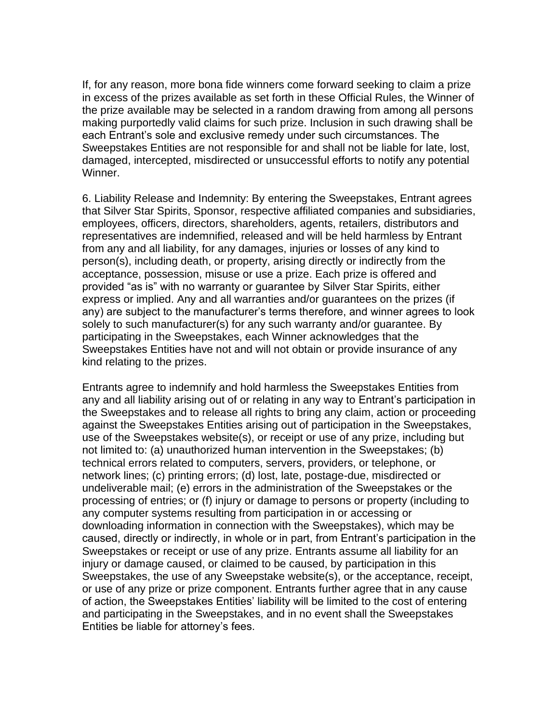If, for any reason, more bona fide winners come forward seeking to claim a prize in excess of the prizes available as set forth in these Official Rules, the Winner of the prize available may be selected in a random drawing from among all persons making purportedly valid claims for such prize. Inclusion in such drawing shall be each Entrant's sole and exclusive remedy under such circumstances. The Sweepstakes Entities are not responsible for and shall not be liable for late, lost, damaged, intercepted, misdirected or unsuccessful efforts to notify any potential Winner.

6. Liability Release and Indemnity: By entering the Sweepstakes, Entrant agrees that Silver Star Spirits, Sponsor, respective affiliated companies and subsidiaries, employees, officers, directors, shareholders, agents, retailers, distributors and representatives are indemnified, released and will be held harmless by Entrant from any and all liability, for any damages, injuries or losses of any kind to person(s), including death, or property, arising directly or indirectly from the acceptance, possession, misuse or use a prize. Each prize is offered and provided "as is" with no warranty or guarantee by Silver Star Spirits, either express or implied. Any and all warranties and/or guarantees on the prizes (if any) are subject to the manufacturer's terms therefore, and winner agrees to look solely to such manufacturer(s) for any such warranty and/or guarantee. By participating in the Sweepstakes, each Winner acknowledges that the Sweepstakes Entities have not and will not obtain or provide insurance of any kind relating to the prizes.

Entrants agree to indemnify and hold harmless the Sweepstakes Entities from any and all liability arising out of or relating in any way to Entrant's participation in the Sweepstakes and to release all rights to bring any claim, action or proceeding against the Sweepstakes Entities arising out of participation in the Sweepstakes, use of the Sweepstakes website(s), or receipt or use of any prize, including but not limited to: (a) unauthorized human intervention in the Sweepstakes; (b) technical errors related to computers, servers, providers, or telephone, or network lines; (c) printing errors; (d) lost, late, postage-due, misdirected or undeliverable mail; (e) errors in the administration of the Sweepstakes or the processing of entries; or (f) injury or damage to persons or property (including to any computer systems resulting from participation in or accessing or downloading information in connection with the Sweepstakes), which may be caused, directly or indirectly, in whole or in part, from Entrant's participation in the Sweepstakes or receipt or use of any prize. Entrants assume all liability for an injury or damage caused, or claimed to be caused, by participation in this Sweepstakes, the use of any Sweepstake website(s), or the acceptance, receipt, or use of any prize or prize component. Entrants further agree that in any cause of action, the Sweepstakes Entities' liability will be limited to the cost of entering and participating in the Sweepstakes, and in no event shall the Sweepstakes Entities be liable for attorney's fees.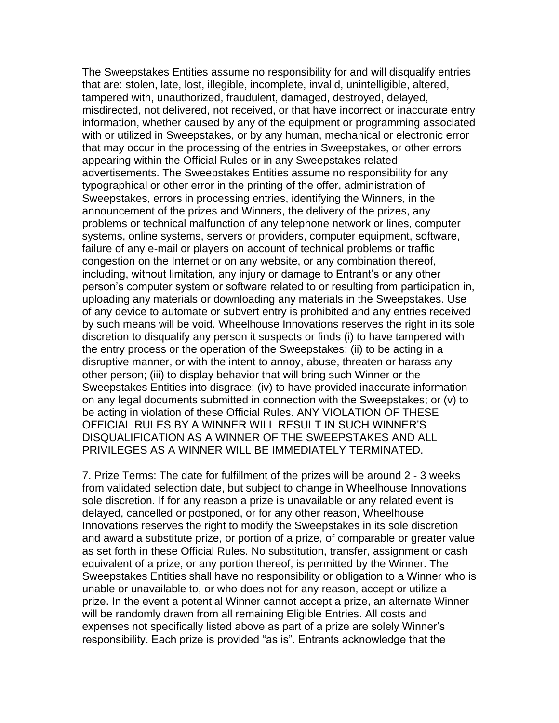The Sweepstakes Entities assume no responsibility for and will disqualify entries that are: stolen, late, lost, illegible, incomplete, invalid, unintelligible, altered, tampered with, unauthorized, fraudulent, damaged, destroyed, delayed, misdirected, not delivered, not received, or that have incorrect or inaccurate entry information, whether caused by any of the equipment or programming associated with or utilized in Sweepstakes, or by any human, mechanical or electronic error that may occur in the processing of the entries in Sweepstakes, or other errors appearing within the Official Rules or in any Sweepstakes related advertisements. The Sweepstakes Entities assume no responsibility for any typographical or other error in the printing of the offer, administration of Sweepstakes, errors in processing entries, identifying the Winners, in the announcement of the prizes and Winners, the delivery of the prizes, any problems or technical malfunction of any telephone network or lines, computer systems, online systems, servers or providers, computer equipment, software, failure of any e-mail or players on account of technical problems or traffic congestion on the Internet or on any website, or any combination thereof, including, without limitation, any injury or damage to Entrant's or any other person's computer system or software related to or resulting from participation in, uploading any materials or downloading any materials in the Sweepstakes. Use of any device to automate or subvert entry is prohibited and any entries received by such means will be void. Wheelhouse Innovations reserves the right in its sole discretion to disqualify any person it suspects or finds (i) to have tampered with the entry process or the operation of the Sweepstakes; (ii) to be acting in a disruptive manner, or with the intent to annoy, abuse, threaten or harass any other person; (iii) to display behavior that will bring such Winner or the Sweepstakes Entities into disgrace; (iv) to have provided inaccurate information on any legal documents submitted in connection with the Sweepstakes; or (v) to be acting in violation of these Official Rules. ANY VIOLATION OF THESE OFFICIAL RULES BY A WINNER WILL RESULT IN SUCH WINNER'S DISQUALIFICATION AS A WINNER OF THE SWEEPSTAKES AND ALL PRIVILEGES AS A WINNER WILL BE IMMEDIATELY TERMINATED.

7. Prize Terms: The date for fulfillment of the prizes will be around 2 - 3 weeks from validated selection date, but subject to change in Wheelhouse Innovations sole discretion. If for any reason a prize is unavailable or any related event is delayed, cancelled or postponed, or for any other reason, Wheelhouse Innovations reserves the right to modify the Sweepstakes in its sole discretion and award a substitute prize, or portion of a prize, of comparable or greater value as set forth in these Official Rules. No substitution, transfer, assignment or cash equivalent of a prize, or any portion thereof, is permitted by the Winner. The Sweepstakes Entities shall have no responsibility or obligation to a Winner who is unable or unavailable to, or who does not for any reason, accept or utilize a prize. In the event a potential Winner cannot accept a prize, an alternate Winner will be randomly drawn from all remaining Eligible Entries. All costs and expenses not specifically listed above as part of a prize are solely Winner's responsibility. Each prize is provided "as is". Entrants acknowledge that the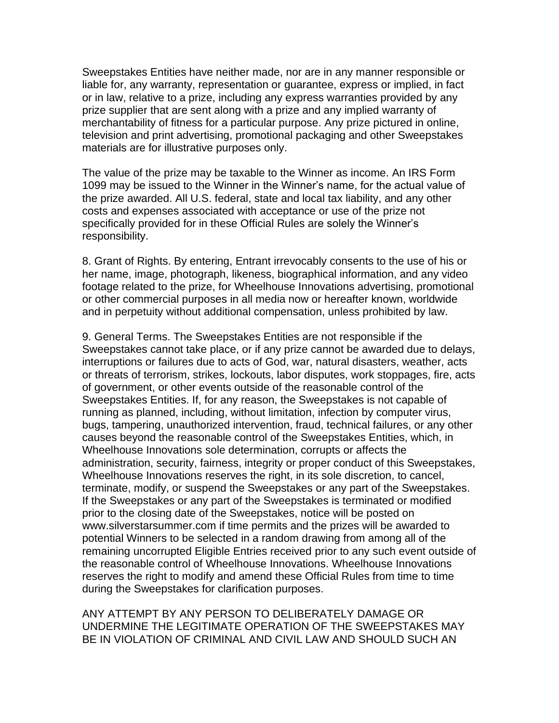Sweepstakes Entities have neither made, nor are in any manner responsible or liable for, any warranty, representation or guarantee, express or implied, in fact or in law, relative to a prize, including any express warranties provided by any prize supplier that are sent along with a prize and any implied warranty of merchantability of fitness for a particular purpose. Any prize pictured in online, television and print advertising, promotional packaging and other Sweepstakes materials are for illustrative purposes only.

The value of the prize may be taxable to the Winner as income. An IRS Form 1099 may be issued to the Winner in the Winner's name, for the actual value of the prize awarded. All U.S. federal, state and local tax liability, and any other costs and expenses associated with acceptance or use of the prize not specifically provided for in these Official Rules are solely the Winner's responsibility.

8. Grant of Rights. By entering, Entrant irrevocably consents to the use of his or her name, image, photograph, likeness, biographical information, and any video footage related to the prize, for Wheelhouse Innovations advertising, promotional or other commercial purposes in all media now or hereafter known, worldwide and in perpetuity without additional compensation, unless prohibited by law.

9. General Terms. The Sweepstakes Entities are not responsible if the Sweepstakes cannot take place, or if any prize cannot be awarded due to delays, interruptions or failures due to acts of God, war, natural disasters, weather, acts or threats of terrorism, strikes, lockouts, labor disputes, work stoppages, fire, acts of government, or other events outside of the reasonable control of the Sweepstakes Entities. If, for any reason, the Sweepstakes is not capable of running as planned, including, without limitation, infection by computer virus, bugs, tampering, unauthorized intervention, fraud, technical failures, or any other causes beyond the reasonable control of the Sweepstakes Entities, which, in Wheelhouse Innovations sole determination, corrupts or affects the administration, security, fairness, integrity or proper conduct of this Sweepstakes, Wheelhouse Innovations reserves the right, in its sole discretion, to cancel, terminate, modify, or suspend the Sweepstakes or any part of the Sweepstakes. If the Sweepstakes or any part of the Sweepstakes is terminated or modified prior to the closing date of the Sweepstakes, notice will be posted on www.silverstarsummer.com if time permits and the prizes will be awarded to potential Winners to be selected in a random drawing from among all of the remaining uncorrupted Eligible Entries received prior to any such event outside of the reasonable control of Wheelhouse Innovations. Wheelhouse Innovations reserves the right to modify and amend these Official Rules from time to time during the Sweepstakes for clarification purposes.

ANY ATTEMPT BY ANY PERSON TO DELIBERATELY DAMAGE OR UNDERMINE THE LEGITIMATE OPERATION OF THE SWEEPSTAKES MAY BE IN VIOLATION OF CRIMINAL AND CIVIL LAW AND SHOULD SUCH AN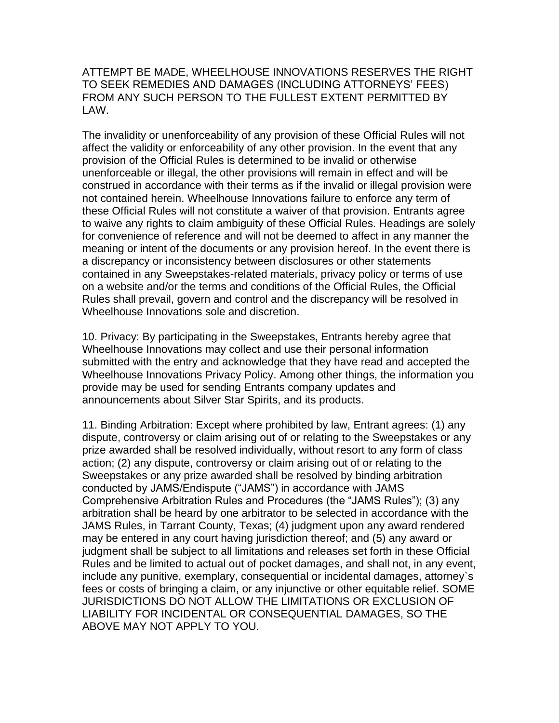ATTEMPT BE MADE, WHEELHOUSE INNOVATIONS RESERVES THE RIGHT TO SEEK REMEDIES AND DAMAGES (INCLUDING ATTORNEYS' FEES) FROM ANY SUCH PERSON TO THE FULLEST EXTENT PERMITTED BY LAW.

The invalidity or unenforceability of any provision of these Official Rules will not affect the validity or enforceability of any other provision. In the event that any provision of the Official Rules is determined to be invalid or otherwise unenforceable or illegal, the other provisions will remain in effect and will be construed in accordance with their terms as if the invalid or illegal provision were not contained herein. Wheelhouse Innovations failure to enforce any term of these Official Rules will not constitute a waiver of that provision. Entrants agree to waive any rights to claim ambiguity of these Official Rules. Headings are solely for convenience of reference and will not be deemed to affect in any manner the meaning or intent of the documents or any provision hereof. In the event there is a discrepancy or inconsistency between disclosures or other statements contained in any Sweepstakes-related materials, privacy policy or terms of use on a website and/or the terms and conditions of the Official Rules, the Official Rules shall prevail, govern and control and the discrepancy will be resolved in Wheelhouse Innovations sole and discretion.

10. Privacy: By participating in the Sweepstakes, Entrants hereby agree that Wheelhouse Innovations may collect and use their personal information submitted with the entry and acknowledge that they have read and accepted the Wheelhouse Innovations Privacy Policy. Among other things, the information you provide may be used for sending Entrants company updates and announcements about Silver Star Spirits, and its products.

11. Binding Arbitration: Except where prohibited by law, Entrant agrees: (1) any dispute, controversy or claim arising out of or relating to the Sweepstakes or any prize awarded shall be resolved individually, without resort to any form of class action; (2) any dispute, controversy or claim arising out of or relating to the Sweepstakes or any prize awarded shall be resolved by binding arbitration conducted by JAMS/Endispute ("JAMS") in accordance with JAMS Comprehensive Arbitration Rules and Procedures (the "JAMS Rules"); (3) any arbitration shall be heard by one arbitrator to be selected in accordance with the JAMS Rules, in Tarrant County, Texas; (4) judgment upon any award rendered may be entered in any court having jurisdiction thereof; and (5) any award or judgment shall be subject to all limitations and releases set forth in these Official Rules and be limited to actual out of pocket damages, and shall not, in any event, include any punitive, exemplary, consequential or incidental damages, attorney`s fees or costs of bringing a claim, or any injunctive or other equitable relief. SOME JURISDICTIONS DO NOT ALLOW THE LIMITATIONS OR EXCLUSION OF LIABILITY FOR INCIDENTAL OR CONSEQUENTIAL DAMAGES, SO THE ABOVE MAY NOT APPLY TO YOU.